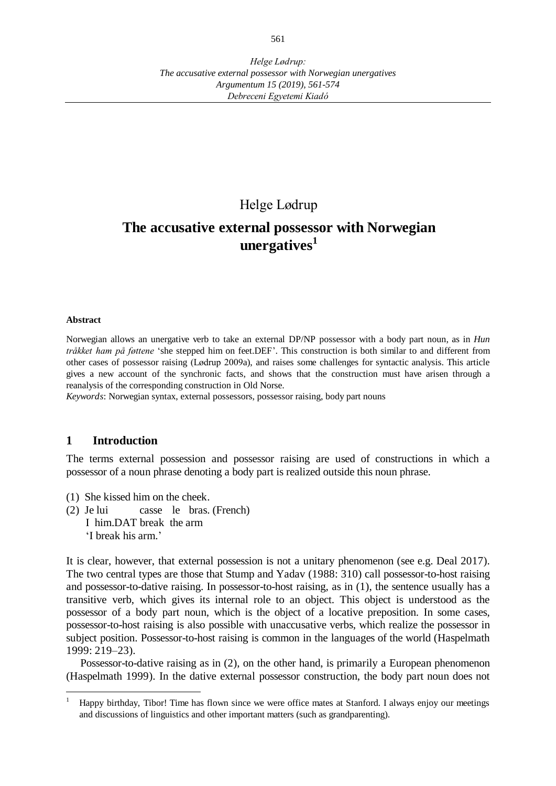# Helge Lødrup

# **The accusative external possessor with Norwegian unergatives<sup>1</sup>**

#### **Abstract**

 $\overline{a}$ 

Norwegian allows an unergative verb to take an external DP/NP possessor with a body part noun, as in *Hun tråkket ham på føttene* 'she stepped him on feet.DEF'. This construction is both similar to and different from other cases of possessor raising (Lødrup 2009a), and raises some challenges for syntactic analysis. This article gives a new account of the synchronic facts, and shows that the construction must have arisen through a reanalysis of the corresponding construction in Old Norse.

*Keywords*: Norwegian syntax, external possessors, possessor raising, body part nouns

## **1 Introduction**

The terms external possession and possessor raising are used of constructions in which a possessor of a noun phrase denoting a body part is realized outside this noun phrase.

- (1) She kissed him on the cheek.
- (2) Je lui casse le bras. (French) I him.DAT break the arm 'I break his arm.'

It is clear, however, that external possession is not a unitary phenomenon (see e.g. Deal 2017). The two central types are those that Stump and Yadav (1988: 310) call possessor-to-host raising and possessor-to-dative raising. In possessor-to-host raising, as in (1), the sentence usually has a transitive verb, which gives its internal role to an object. This object is understood as the possessor of a body part noun, which is the object of a locative preposition. In some cases, possessor-to-host raising is also possible with unaccusative verbs, which realize the possessor in subject position. Possessor-to-host raising is common in the languages of the world (Haspelmath 1999: 219–23).

Possessor-to-dative raising as in (2), on the other hand, is primarily a European phenomenon (Haspelmath 1999). In the dative external possessor construction, the body part noun does not

<sup>1</sup> Happy birthday, Tibor! Time has flown since we were office mates at Stanford. I always enjoy our meetings and discussions of linguistics and other important matters (such as grandparenting).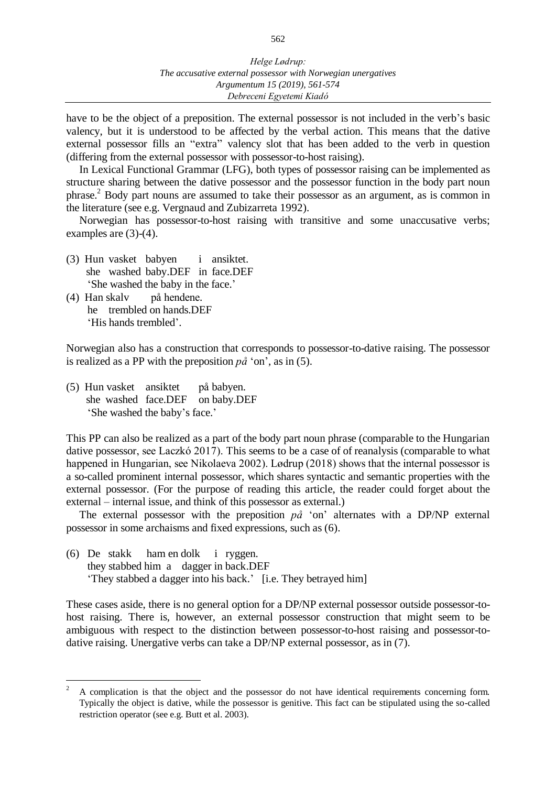have to be the object of a preposition. The external possessor is not included in the verb's basic valency, but it is understood to be affected by the verbal action. This means that the dative external possessor fills an "extra" valency slot that has been added to the verb in question (differing from the external possessor with possessor-to-host raising).

In Lexical Functional Grammar (LFG), both types of possessor raising can be implemented as structure sharing between the dative possessor and the possessor function in the body part noun phrase.<sup>2</sup> Body part nouns are assumed to take their possessor as an argument, as is common in the literature (see e.g. Vergnaud and Zubizarreta 1992).

Norwegian has possessor-to-host raising with transitive and some unaccusative verbs; examples are (3)-(4).

- (3) Hun vasket babyen i ansiktet. she washed baby.DEF in face.DEF 'She washed the baby in the face.'
- (4) Han skalv på hendene. he trembled on hands.DEF 'His hands trembled'.

 $\overline{a}$ 

Norwegian also has a construction that corresponds to possessor-to-dative raising. The possessor is realized as a PP with the preposition  $p\hat{a}$  'on', as in (5).

(5) Hun vasket ansiktet på babyen. she washed face.DEF on baby.DEF 'She washed the baby's face.'

This PP can also be realized as a part of the body part noun phrase (comparable to the Hungarian dative possessor, see Laczkó 2017). This seems to be a case of of reanalysis (comparable to what happened in Hungarian, see Nikolaeva 2002). Lødrup (2018) shows that the internal possessor is a so-called prominent internal possessor, which shares syntactic and semantic properties with the external possessor. (For the purpose of reading this article, the reader could forget about the external – internal issue, and think of this possessor as external.)

The external possessor with the preposition  $p\hat{a}$  'on' alternates with a DP/NP external possessor in some archaisms and fixed expressions, such as (6).

(6) De stakk ham en dolk i ryggen. they stabbed him a dagger in back.DEF 'They stabbed a dagger into his back.' [i.e. They betrayed him]

These cases aside, there is no general option for a DP/NP external possessor outside possessor-tohost raising. There is, however, an external possessor construction that might seem to be ambiguous with respect to the distinction between possessor-to-host raising and possessor-todative raising. Unergative verbs can take a DP/NP external possessor, as in (7).

<sup>2</sup> A complication is that the object and the possessor do not have identical requirements concerning form. Typically the object is dative, while the possessor is genitive. This fact can be stipulated using the so-called restriction operator (see e.g. Butt et al. 2003).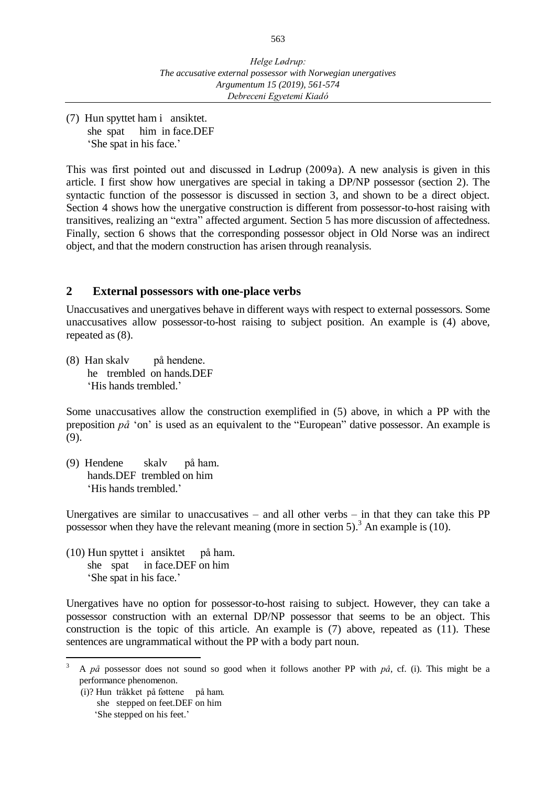(7) Hun spyttet ham i ansiktet. she spat him in face.DEF 'She spat in his face.'

This was first pointed out and discussed in Lødrup (2009a). A new analysis is given in this article. I first show how unergatives are special in taking a DP/NP possessor (section 2). The syntactic function of the possessor is discussed in section 3, and shown to be a direct object. Section 4 shows how the unergative construction is different from possessor-to-host raising with transitives, realizing an "extra" affected argument. Section 5 has more discussion of affectedness. Finally, section 6 shows that the corresponding possessor object in Old Norse was an indirect object, and that the modern construction has arisen through reanalysis.

# **2 External possessors with one-place verbs**

Unaccusatives and unergatives behave in different ways with respect to external possessors. Some unaccusatives allow possessor-to-host raising to subject position. An example is (4) above, repeated as (8).

(8) Han skalv på hendene. he trembled on hands.DEF 'His hands trembled.'

Some unaccusatives allow the construction exemplified in (5) above, in which a PP with the preposition *på* 'on' is used as an equivalent to the "European" dative possessor. An example is (9).

(9) Hendene skalv på ham. hands.DEF trembled on him 'His hands trembled.'

Unergatives are similar to unaccusatives – and all other verbs – in that they can take this  $PP$ possessor when they have the relevant meaning (more in section 5).<sup>3</sup> An example is (10).

(10) Hun spyttet i ansiktet på ham. she spat in face.DEF on him 'She spat in his face.'

Unergatives have no option for possessor-to-host raising to subject. However, they can take a possessor construction with an external DP/NP possessor that seems to be an object. This construction is the topic of this article. An example is (7) above, repeated as (11). These sentences are ungrammatical without the PP with a body part noun.

(i)? Hun tråkket på føttene på ham. she stepped on feet.DEF on him 'She stepped on his feet.'

 $\overline{a}$ 

<sup>3</sup> A *på* possessor does not sound so good when it follows another PP with *på*, cf. (i). This might be a performance phenomenon.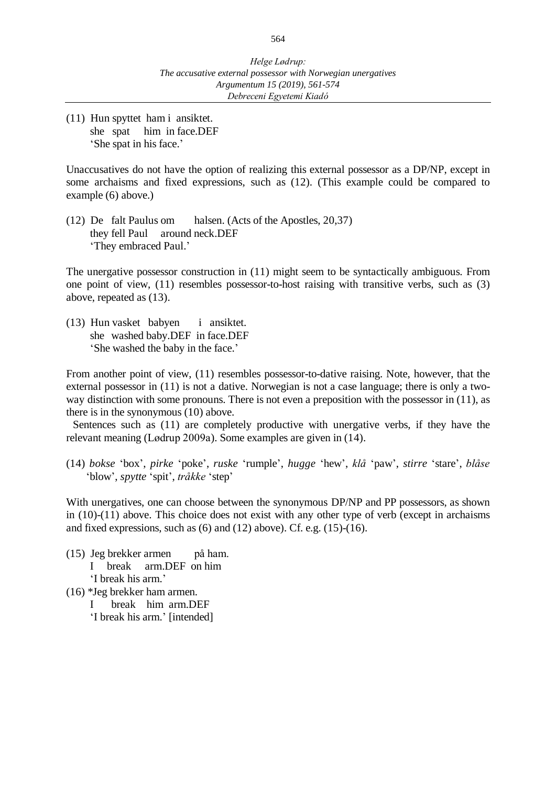(11) Hun spyttet ham i ansiktet. she spat him in face.DEF 'She spat in his face.'

Unaccusatives do not have the option of realizing this external possessor as a DP/NP, except in some archaisms and fixed expressions, such as (12). (This example could be compared to example (6) above.)

(12) De falt Paulus om halsen. (Acts of the Apostles, 20,37) they fell Paul around neck.DEF 'They embraced Paul.'

The unergative possessor construction in (11) might seem to be syntactically ambiguous. From one point of view, (11) resembles possessor-to-host raising with transitive verbs, such as (3) above, repeated as (13).

(13) Hun vasket babyen i ansiktet. she washed baby.DEF in face.DEF 'She washed the baby in the face.'

From another point of view, (11) resembles possessor-to-dative raising. Note, however, that the external possessor in (11) is not a dative. Norwegian is not a case language; there is only a twoway distinction with some pronouns. There is not even a preposition with the possessor in (11), as there is in the synonymous (10) above.

Sentences such as (11) are completely productive with unergative verbs, if they have the relevant meaning (Lødrup 2009a). Some examples are given in (14).

(14) *bokse* 'box', *pirke* 'poke', *ruske* 'rumple', *hugge* 'hew', *klå* 'paw', *stirre* 'stare', *blåse* 'blow', *spytte* 'spit', *tråkke* 'step'

With unergatives, one can choose between the synonymous DP/NP and PP possessors, as shown in (10)-(11) above. This choice does not exist with any other type of verb (except in archaisms and fixed expressions, such as  $(6)$  and  $(12)$  above). Cf. e.g.  $(15)-(16)$ .

- (15) Jeg brekker armen på ham. I break arm.DEF on him 'I break his arm.'
- (16) \*Jeg brekker ham armen.
	- I break him arm.DEF
	- 'I break his arm.' [intended]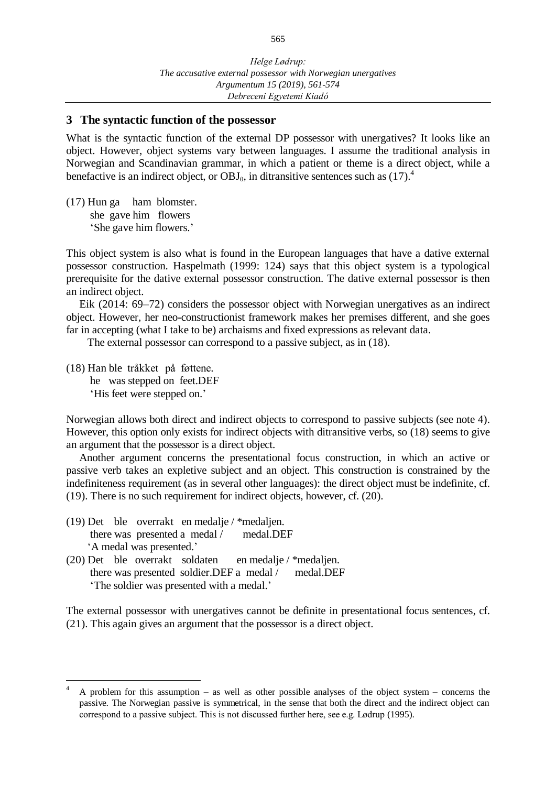## **3 The syntactic function of the possessor**

What is the syntactic function of the external DP possessor with unergatives? It looks like an object. However, object systems vary between languages. I assume the traditional analysis in Norwegian and Scandinavian grammar, in which a patient or theme is a direct object, while a benefactive is an indirect object, or  $OBJ_{\theta}$ , in ditransitive sentences such as  $(17).$ <sup>4</sup>

(17) Hun ga ham blomster. she gave him flowers 'She gave him flowers.'

This object system is also what is found in the European languages that have a dative external possessor construction. Haspelmath (1999: 124) says that this object system is a typological prerequisite for the dative external possessor construction. The dative external possessor is then an indirect object.

Eik (2014: 69–72) considers the possessor object with Norwegian unergatives as an indirect object. However, her neo-constructionist framework makes her premises different, and she goes far in accepting (what I take to be) archaisms and fixed expressions as relevant data.

The external possessor can correspond to a passive subject, as in (18).

(18) Han ble tråkket på føttene. he was stepped on feet.DEF 'His feet were stepped on.'

 $\overline{a}$ 

Norwegian allows both direct and indirect objects to correspond to passive subjects (see note 4). However, this option only exists for indirect objects with ditransitive verbs, so (18) seems to give an argument that the possessor is a direct object.

Another argument concerns the presentational focus construction, in which an active or passive verb takes an expletive subject and an object. This construction is constrained by the indefiniteness requirement (as in several other languages): the direct object must be indefinite, cf. (19). There is no such requirement for indirect objects, however, cf. (20).

- (19) Det ble overrakt en medalje / \*medaljen. there was presented a medal / medal.DEF 'A medal was presented.'
- (20) Det ble overrakt soldaten en medalje / \*medaljen. there was presented soldier.DEF a medal / medal.DEF 'The soldier was presented with a medal.'

The external possessor with unergatives cannot be definite in presentational focus sentences, cf. (21). This again gives an argument that the possessor is a direct object.

<sup>4</sup> A problem for this assumption – as well as other possible analyses of the object system – concerns the passive. The Norwegian passive is symmetrical, in the sense that both the direct and the indirect object can correspond to a passive subject. This is not discussed further here, see e.g. Lødrup (1995).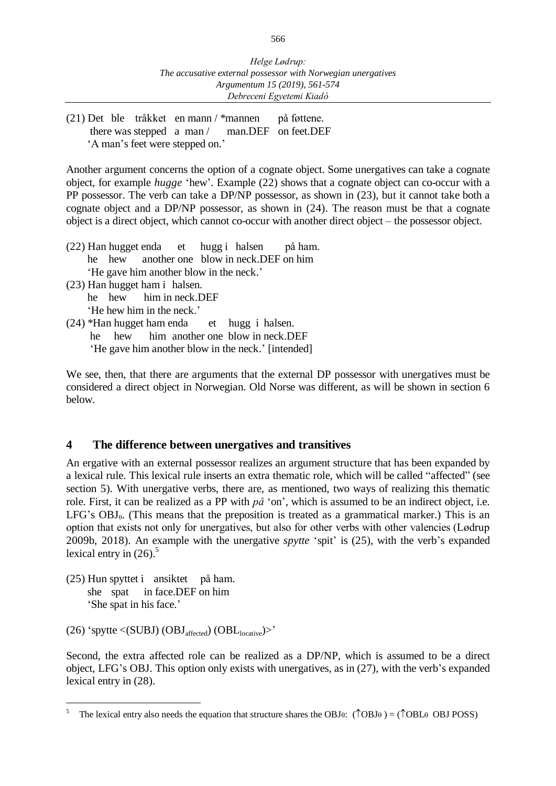(21) Det ble tråkket en mann / \*mannen på føttene. there was stepped a man / man.DEF on feet.DEF 'A man's feet were stepped on.'

Another argument concerns the option of a cognate object. Some unergatives can take a cognate object, for example *hugge* 'hew'. Example (22) shows that a cognate object can co-occur with a PP possessor. The verb can take a DP/NP possessor, as shown in (23), but it cannot take both a cognate object and a DP/NP possessor, as shown in (24). The reason must be that a cognate object is a direct object, which cannot co-occur with another direct object – the possessor object.

- (22) Han hugget enda et hugg i halsen på ham. he hew another one blow in neck.DEF on him 'He gave him another blow in the neck.'
- (23) Han hugget ham i halsen. he hew him in neck.DEF 'He hew him in the neck.'
- (24) \*Han hugget ham enda et hugg i halsen. he hew him another one blow in neck.DEF 'He gave him another blow in the neck.' [intended]

We see, then, that there are arguments that the external DP possessor with unergatives must be considered a direct object in Norwegian. Old Norse was different, as will be shown in section 6 below.

# **4 The difference between unergatives and transitives**

An ergative with an external possessor realizes an argument structure that has been expanded by a lexical rule. This lexical rule inserts an extra thematic role, which will be called "affected" (see section 5). With unergative verbs, there are, as mentioned, two ways of realizing this thematic role. First, it can be realized as a PP with *på* 'on', which is assumed to be an indirect object, i.e. LFG's  $OBJ_{\theta}$ . (This means that the preposition is treated as a grammatical marker.) This is an option that exists not only for unergatives, but also for other verbs with other valencies (Lødrup 2009b, 2018). An example with the unergative *spytte* 'spit' is (25), with the verb's expanded lexical entry in  $(26)$ .<sup>5</sup>

(25) Hun spyttet i ansiktet på ham. she spat in face.DEF on him 'She spat in his face.'

(26) 'spytte  $\langle$ (SUBJ) (OBJ<sub>affected</sub>) (OBL<sub>locative</sub>)>'

Second, the extra affected role can be realized as a DP/NP, which is assumed to be a direct object, LFG's OBJ. This option only exists with unergatives, as in (27), with the verb's expanded lexical entry in (28).

<sup>5</sup> The lexical entry also needs the equation that structure shares the OBJ $\theta$ : ( $\hat{\triangle}$ OBJ $\theta$ ) = ( $\hat{\triangle}$ OBL $\theta$  OBJ POSS)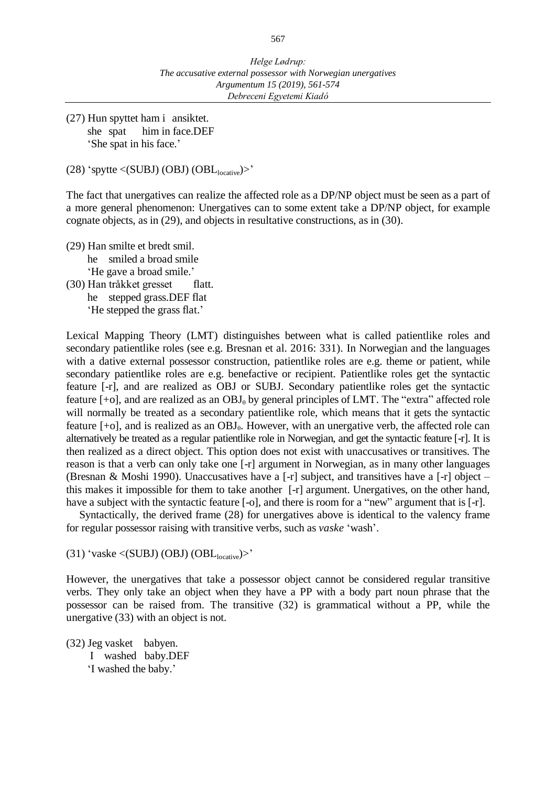(27) Hun spyttet ham i ansiktet. she spat him in face.DEF 'She spat in his face.'

(28) 'spytte  $\langle$ (SUBJ) (OBJ) (OBL<sub>locative</sub>)>'

The fact that unergatives can realize the affected role as a DP/NP object must be seen as a part of a more general phenomenon: Unergatives can to some extent take a DP/NP object, for example cognate objects, as in (29), and objects in resultative constructions, as in (30).

- (29) Han smilte et bredt smil. he smiled a broad smile 'He gave a broad smile.'
- (30) Han tråkket gresset flatt. he stepped grass.DEF flat 'He stepped the grass flat.'

Lexical Mapping Theory (LMT) distinguishes between what is called patientlike roles and secondary patientlike roles (see e.g. Bresnan et al. 2016: 331). In Norwegian and the languages with a dative external possessor construction, patientlike roles are e.g. theme or patient, while secondary patientlike roles are e.g. benefactive or recipient. Patientlike roles get the syntactic feature [-r], and are realized as OBJ or SUBJ. Secondary patientlike roles get the syntactic feature  $[+o]$ , and are realized as an  $OBJ_\theta$  by general principles of LMT. The "extra" affected role will normally be treated as a secondary patientlike role, which means that it gets the syntactic feature  $[-6]$ , and is realized as an OBJ<sub>0</sub>. However, with an unergative verb, the affected role can alternatively be treated as a regular patientlike role in Norwegian, and get the syntactic feature [-r]. It is then realized as a direct object. This option does not exist with unaccusatives or transitives. The reason is that a verb can only take one [-r] argument in Norwegian, as in many other languages (Bresnan & Moshi 1990). Unaccusatives have a [-r] subject, and transitives have a [-r] object – this makes it impossible for them to take another [-r] argument. Unergatives, on the other hand, have a subject with the syntactic feature [-o], and there is room for a "new" argument that is [-r].

Syntactically, the derived frame (28) for unergatives above is identical to the valency frame for regular possessor raising with transitive verbs, such as *vaske* 'wash'.

(31) 'vaske <(SUBJ) (OBJ)  $(OBL<sub>locative</sub>)$ >'

However, the unergatives that take a possessor object cannot be considered regular transitive verbs. They only take an object when they have a PP with a body part noun phrase that the possessor can be raised from. The transitive (32) is grammatical without a PP, while the unergative (33) with an object is not.

(32) Jeg vasket babyen. I washed baby.DEF 'I washed the baby.'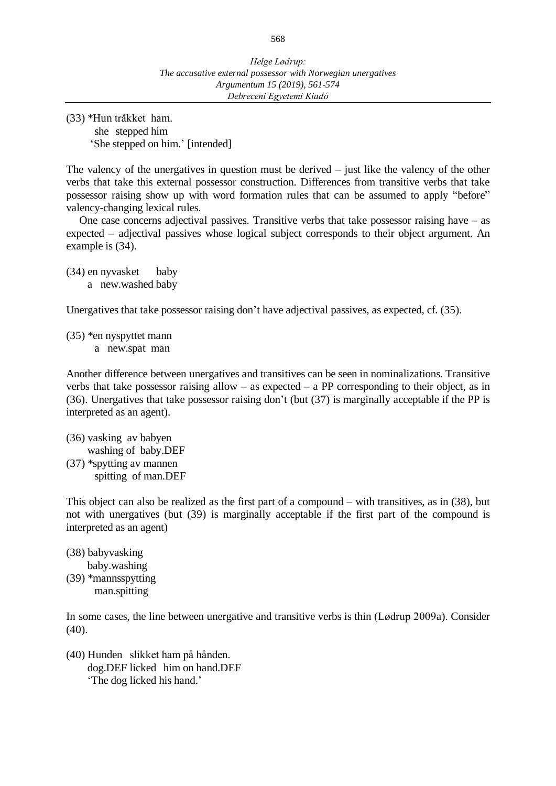(33) \*Hun tråkket ham.

she stepped him 'She stepped on him.' [intended]

The valency of the unergatives in question must be derived – just like the valency of the other verbs that take this external possessor construction. Differences from transitive verbs that take possessor raising show up with word formation rules that can be assumed to apply "before" valency-changing lexical rules.

One case concerns adjectival passives. Transitive verbs that take possessor raising have – as expected – adjectival passives whose logical subject corresponds to their object argument. An example is (34).

(34) en nyvasket baby a new.washed baby

Unergatives that take possessor raising don't have adjectival passives, as expected, cf. (35).

(35) \*en nyspyttet mann a new.spat man

Another difference between unergatives and transitives can be seen in nominalizations. Transitive verbs that take possessor raising allow – as expected – a PP corresponding to their object, as in (36). Unergatives that take possessor raising don't (but (37) is marginally acceptable if the PP is interpreted as an agent).

(36) vasking av babyen washing of baby.DEF (37) \*spytting av mannen spitting of man.DEF

This object can also be realized as the first part of a compound – with transitives, as in (38), but not with unergatives (but (39) is marginally acceptable if the first part of the compound is interpreted as an agent)

- (38) babyvasking
- baby.washing (39) \*mannsspytting
	- man.spitting

In some cases, the line between unergative and transitive verbs is thin (Lødrup 2009a). Consider (40).

(40) Hunden slikket ham på hånden. dog.DEF licked him on hand.DEF 'The dog licked his hand.'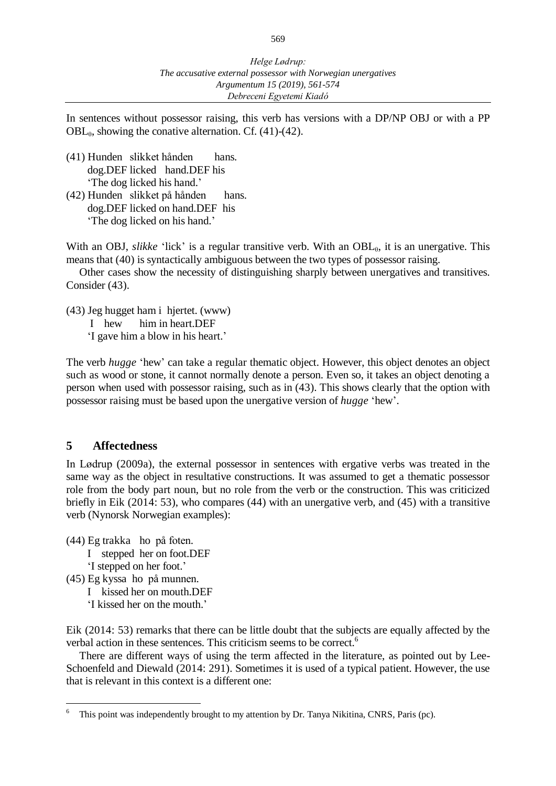In sentences without possessor raising, this verb has versions with a DP/NP OBJ or with a PP  $OBL<sub>0</sub>$ , showing the conative alternation. Cf. (41)-(42).

- (41) Hunden slikket hånden hans. dog.DEF licked hand.DEF his 'The dog licked his hand.'
- (42) Hunden slikket på hånden hans. dog.DEF licked on hand.DEF his 'The dog licked on his hand.'

With an OBJ, *slikke* 'lick' is a regular transitive verb. With an OBL<sub>0</sub>, it is an unergative. This means that (40) is syntactically ambiguous between the two types of possessor raising.

Other cases show the necessity of distinguishing sharply between unergatives and transitives. Consider (43).

(43) Jeg hugget ham i hjertet. (www)

I hew him in heart.DEF

'I gave him a blow in his heart.'

The verb *hugge* 'hew' can take a regular thematic object. However, this object denotes an object such as wood or stone, it cannot normally denote a person. Even so, it takes an object denoting a person when used with possessor raising, such as in (43). This shows clearly that the option with possessor raising must be based upon the unergative version of *hugge* 'hew'.

# **5 Affectedness**

In Lødrup (2009a), the external possessor in sentences with ergative verbs was treated in the same way as the object in resultative constructions. It was assumed to get a thematic possessor role from the body part noun, but no role from the verb or the construction. This was criticized briefly in Eik (2014: 53), who compares (44) with an unergative verb, and (45) with a transitive verb (Nynorsk Norwegian examples):

- (44) Eg trakka ho på foten.
	- I stepped her on foot.DEF
	- 'I stepped on her foot.'
- (45) Eg kyssa ho på munnen.

- I kissed her on mouth.DEF
- 'I kissed her on the mouth.'

Eik (2014: 53) remarks that there can be little doubt that the subjects are equally affected by the verbal action in these sentences. This criticism seems to be correct.<sup>6</sup>

There are different ways of using the term affected in the literature, as pointed out by Lee-Schoenfeld and Diewald (2014: 291). Sometimes it is used of a typical patient. However, the use that is relevant in this context is a different one:

<sup>6</sup> This point was independently brought to my attention by Dr. Tanya Nikitina, CNRS, Paris (pc).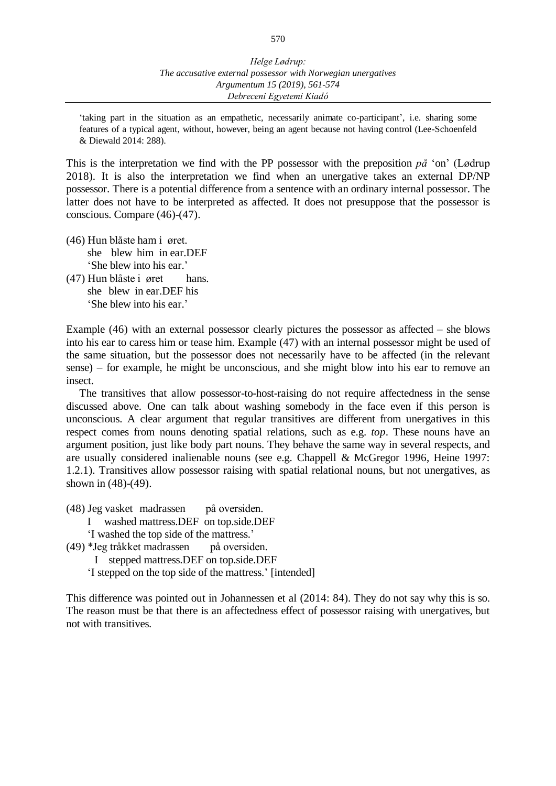'taking part in the situation as an empathetic, necessarily animate co-participant', i.e. sharing some features of a typical agent, without, however, being an agent because not having control (Lee-Schoenfeld & Diewald 2014: 288).

This is the interpretation we find with the PP possessor with the preposition *på* 'on' (Lødrup 2018). It is also the interpretation we find when an unergative takes an external DP/NP possessor. There is a potential difference from a sentence with an ordinary internal possessor. The latter does not have to be interpreted as affected. It does not presuppose that the possessor is conscious. Compare (46)-(47).

- (46) Hun blåste ham i øret. she blew him in ear.DEF 'She blew into his ear.'
- (47) Hun blåste i øret hans. she blew in ear.DEF his 'She blew into his ear.'

Example (46) with an external possessor clearly pictures the possessor as affected – she blows into his ear to caress him or tease him. Example (47) with an internal possessor might be used of the same situation, but the possessor does not necessarily have to be affected (in the relevant sense) – for example, he might be unconscious, and she might blow into his ear to remove an insect.

The transitives that allow possessor-to-host-raising do not require affectedness in the sense discussed above. One can talk about washing somebody in the face even if this person is unconscious. A clear argument that regular transitives are different from unergatives in this respect comes from nouns denoting spatial relations, such as e.g. *top*. These nouns have an argument position, just like body part nouns. They behave the same way in several respects, and are usually considered inalienable nouns (see e.g. Chappell & McGregor 1996, Heine 1997: 1.2.1). Transitives allow possessor raising with spatial relational nouns, but not unergatives, as shown in (48)-(49).

- (48) Jeg vasket madrassen på oversiden.
	- I washed mattress.DEF on top.side.DEF
	- 'I washed the top side of the mattress.'
- (49) \*Jeg tråkket madrassen på oversiden.
	- I stepped mattress.DEF on top.side.DEF
	- 'I stepped on the top side of the mattress.' [intended]

This difference was pointed out in Johannessen et al (2014: 84). They do not say why this is so. The reason must be that there is an affectedness effect of possessor raising with unergatives, but not with transitives.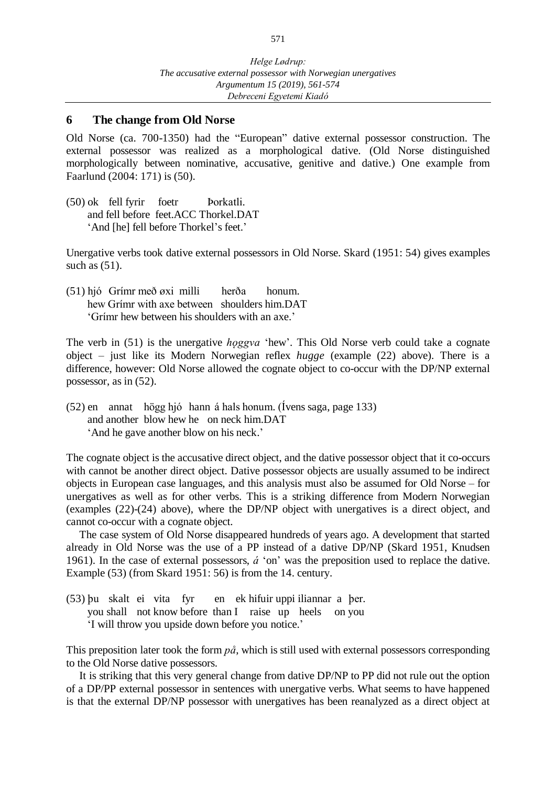#### **6 The change from Old Norse**

Old Norse (ca. 700-1350) had the "European" dative external possessor construction. The external possessor was realized as a morphological dative. (Old Norse distinguished morphologically between nominative, accusative, genitive and dative.) One example from Faarlund (2004: 171) is (50).

(50) ok fell fyrir foetr Þorkatli. and fell before feet.ACC Thorkel.DAT 'And [he] fell before Thorkel's feet.'

Unergative verbs took dative external possessors in Old Norse. Skard (1951: 54) gives examples such as  $(51)$ .

(51) hjó Grímr með øxi milli herða honum. hew Grímr with axe between shoulders him.DAT 'Grímr hew between his shoulders with an axe.'

The verb in (51) is the unergative *hoggva* 'hew'. This Old Norse verb could take a cognate object – just like its Modern Norwegian reflex *hugge* (example (22) above). There is a difference, however: Old Norse allowed the cognate object to co-occur with the DP/NP external possessor, as in (52).

(52) en annat högg hjó hann á hals honum. (Ívens saga, page 133) and another blow hew he on neck him.DAT 'And he gave another blow on his neck.'

The cognate object is the accusative direct object, and the dative possessor object that it co-occurs with cannot be another direct object. Dative possessor objects are usually assumed to be indirect objects in European case languages, and this analysis must also be assumed for Old Norse – for unergatives as well as for other verbs. This is a striking difference from Modern Norwegian (examples (22)-(24) above), where the DP/NP object with unergatives is a direct object, and cannot co-occur with a cognate object.

The case system of Old Norse disappeared hundreds of years ago. A development that started already in Old Norse was the use of a PP instead of a dative DP/NP (Skard 1951, Knudsen 1961). In the case of external possessors, *á* 'on' was the preposition used to replace the dative. Example (53) (from Skard 1951: 56) is from the 14. century.

(53) þu skalt ei vita fyr en ek hifuir uppi iliannar a þer. you shall not know before than I raise up heels on you 'I will throw you upside down before you notice.'

This preposition later took the form *på*, which is still used with external possessors corresponding to the Old Norse dative possessors.

It is striking that this very general change from dative DP/NP to PP did not rule out the option of a DP/PP external possessor in sentences with unergative verbs. What seems to have happened is that the external DP/NP possessor with unergatives has been reanalyzed as a direct object at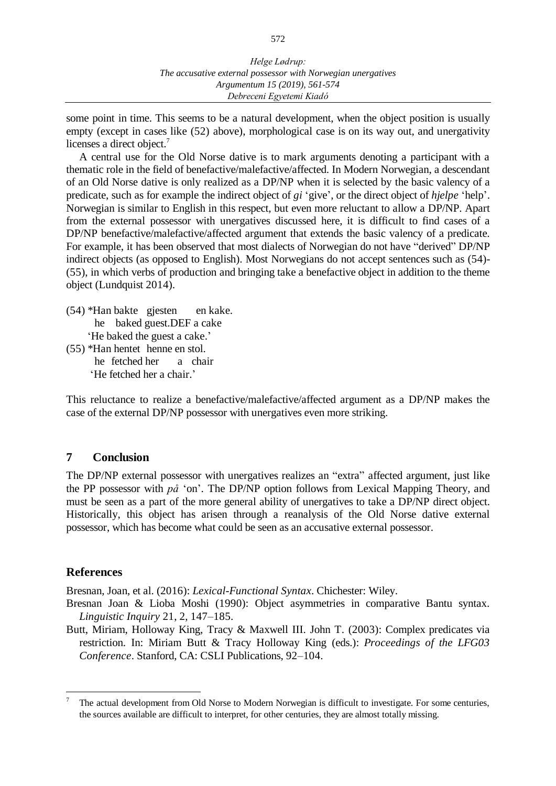some point in time. This seems to be a natural development, when the object position is usually empty (except in cases like (52) above), morphological case is on its way out, and unergativity licenses a direct object.<sup>7</sup>

A central use for the Old Norse dative is to mark arguments denoting a participant with a thematic role in the field of benefactive/malefactive/affected. In Modern Norwegian, a descendant of an Old Norse dative is only realized as a DP/NP when it is selected by the basic valency of a predicate, such as for example the indirect object of *gi* 'give', or the direct object of *hjelpe* 'help'. Norwegian is similar to English in this respect, but even more reluctant to allow a DP/NP. Apart from the external possessor with unergatives discussed here, it is difficult to find cases of a DP/NP benefactive/malefactive/affected argument that extends the basic valency of a predicate. For example, it has been observed that most dialects of Norwegian do not have "derived" DP/NP indirect objects (as opposed to English). Most Norwegians do not accept sentences such as (54)- (55), in which verbs of production and bringing take a benefactive object in addition to the theme object (Lundquist 2014).

- (54) \*Han bakte gjesten en kake. he baked guest.DEF a cake 'He baked the guest a cake.'
- (55) \*Han hentet henne en stol. he fetched her a chair 'He fetched her a chair.'

This reluctance to realize a benefactive/malefactive/affected argument as a DP/NP makes the case of the external DP/NP possessor with unergatives even more striking.

# **7 Conclusion**

The DP/NP external possessor with unergatives realizes an "extra" affected argument, just like the PP possessor with *på* 'on'. The DP/NP option follows from Lexical Mapping Theory, and must be seen as a part of the more general ability of unergatives to take a DP/NP direct object. Historically, this object has arisen through a reanalysis of the Old Norse dative external possessor, which has become what could be seen as an accusative external possessor.

# **References**

 $\overline{a}$ 

Bresnan, Joan, et al. (2016): *Lexical-Functional Syntax*. Chichester: Wiley.

- Bresnan Joan & Lioba Moshi (1990): Object asymmetries in comparative Bantu syntax. *Linguistic Inquiry* 21, 2, 147–185.
- Butt, Miriam, Holloway King, Tracy & Maxwell III. John T. (2003): Complex predicates via restriction. In: Miriam Butt & Tracy Holloway King (eds.): *Proceedings of the LFG03 Conference*. Stanford, CA: CSLI Publications, 92–104.

<sup>7</sup> The actual development from Old Norse to Modern Norwegian is difficult to investigate. For some centuries, the sources available are difficult to interpret, for other centuries, they are almost totally missing.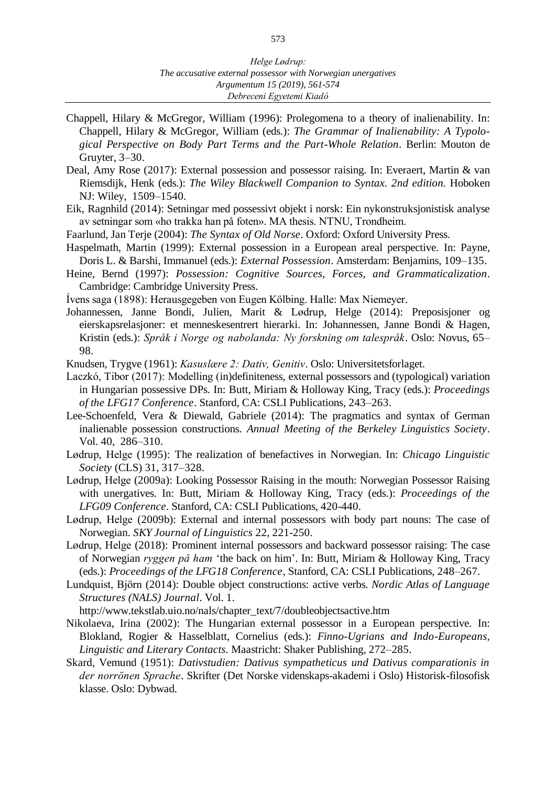- Chappell, Hilary & McGregor, William (1996): Prolegomena to a theory of inalienability. In: Chappell, Hilary & McGregor, William (eds.): *The Grammar of Inalienability: A Typological Perspective on Body Part Terms and the Part-Whole Relation*. Berlin: Mouton de Gruyter, 3–30.
- Deal, Amy Rose (2017): External possession and possessor raising. In: Everaert, Martin & van Riemsdijk, Henk (eds.): *The Wiley Blackwell Companion to Syntax. 2nd edition.* Hoboken NJ: Wiley, 1509–1540.
- Eik, Ragnhild (2014): Setningar med possessivt objekt i norsk: Ein nykonstruksjonistisk analyse av setningar som «ho trakka han på foten». MA thesis. NTNU, Trondheim.
- Faarlund, Jan Terje (2004): *The Syntax of Old Norse*. Oxford: Oxford University Press.
- Haspelmath, Martin (1999): External possession in a European areal perspective. In: Payne, Doris L. & Barshi, Immanuel (eds.): *External Possession*. Amsterdam: Benjamins, 109–135.
- Heine, Bernd (1997): *Possession: Cognitive Sources, Forces, and Grammaticalization*. Cambridge: Cambridge University Press.
- Ívens saga (1898): Herausgegeben von Eugen Kölbing. Halle: Max Niemeyer.
- Johannessen, Janne Bondi, Julien, Marit & Lødrup, Helge (2014): Preposisjoner og eierskapsrelasjoner: et menneskesentrert hierarki. In: Johannessen, Janne Bondi & Hagen, Kristin (eds.): *Språk i Norge og nabolanda: Ny forskning om talespråk*. Oslo: Novus, 65– 98.
- Knudsen, Trygve (1961): *Kasuslære 2: Dativ, Genitiv*. Oslo: Universitetsforlaget.
- Laczkó, Tibor (2017): Modelling (in)definiteness, external possessors and (typological) variation in Hungarian possessive DPs. In: Butt, Miriam & Holloway King, Tracy (eds.): *Proceedings of the LFG17 Conference*. Stanford, CA: CSLI Publications, 243–263.
- Lee-Schoenfeld, Vera & Diewald, Gabriele (2014): The pragmatics and syntax of German inalienable possession constructions. *Annual Meeting of the Berkeley Linguistics Society*. Vol. 40, 286–310.
- Lødrup, Helge (1995): The realization of benefactives in Norwegian. In: *Chicago Linguistic Society* (CLS) 31, 317–328.
- Lødrup, Helge (2009a): Looking Possessor Raising in the mouth: Norwegian Possessor Raising with unergatives. In: Butt, Miriam & Holloway King, Tracy (eds.): *Proceedings of the LFG09 Conference*. Stanford, CA: CSLI Publications, 420-440.
- Lødrup, Helge (2009b): External and internal possessors with body part nouns: The case of Norwegian. *SKY Journal of Linguistics* 22, 221-250.
- Lødrup, Helge (2018): Prominent internal possessors and backward possessor raising: The case of Norwegian *ryggen på ham* 'the back on him'. In: Butt, Miriam & Holloway King, Tracy (eds.): *Proceedings of the LFG18 Conference*, Stanford, CA: CSLI Publications, 248–267.
- Lundquist, Björn (2014): Double object constructions: active verbs. *Nordic Atlas of Language Structures (NALS) Journal*. Vol. 1.

http://www.tekstlab.uio.no/nals/chapter\_text/7/doubleobjectsactive.htm

- Nikolaeva, Irina (2002): The Hungarian external possessor in a European perspective. In: Blokland, Rogier & Hasselblatt, Cornelius (eds.): *Finno-Ugrians and Indo-Europeans, Linguistic and Literary Contacts.* Maastricht: Shaker Publishing*,* 272–285.
- Skard, Vemund (1951): *Dativstudien: Dativus sympatheticus und Dativus comparationis in der norrönen Sprache*. Skrifter (Det Norske videnskaps-akademi i Oslo) Historisk-filosofisk klasse. Oslo: Dybwad.